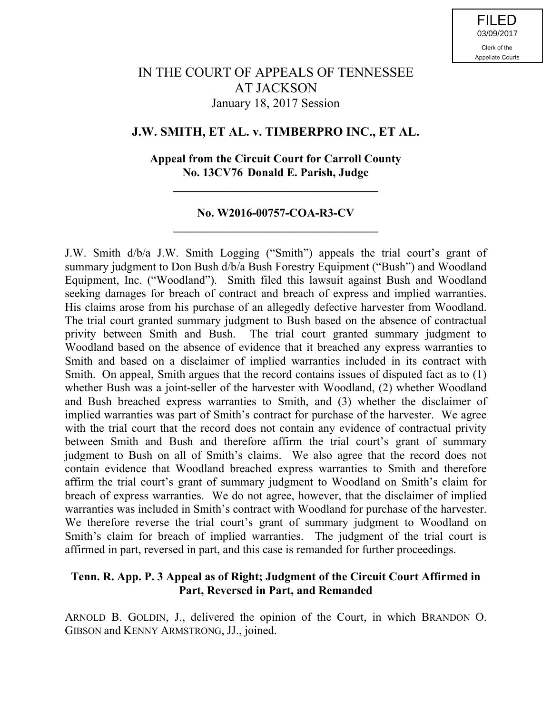# IN THE COURT OF APPEALS OF TENNESSEE AT JACKSON January 18, 2017 Session

# **J.W. SMITH, ET AL. v. TIMBERPRO INC., ET AL.**

### **Appeal from the Circuit Court for Carroll County No. 13CV76 Donald E. Parish, Judge**

**\_\_\_\_\_\_\_\_\_\_\_\_\_\_\_\_\_\_\_\_\_\_\_\_\_\_\_\_\_\_\_\_\_\_\_**

### **No. W2016-00757-COA-R3-CV \_\_\_\_\_\_\_\_\_\_\_\_\_\_\_\_\_\_\_\_\_\_\_\_\_\_\_\_\_\_\_\_\_\_\_**

J.W. Smith d/b/a J.W. Smith Logging ("Smith") appeals the trial court's grant of summary judgment to Don Bush d/b/a Bush Forestry Equipment ("Bush") and Woodland Equipment, Inc. ("Woodland"). Smith filed this lawsuit against Bush and Woodland seeking damages for breach of contract and breach of express and implied warranties. His claims arose from his purchase of an allegedly defective harvester from Woodland. The trial court granted summary judgment to Bush based on the absence of contractual privity between Smith and Bush. The trial court granted summary judgment to Woodland based on the absence of evidence that it breached any express warranties to Smith and based on a disclaimer of implied warranties included in its contract with Smith. On appeal, Smith argues that the record contains issues of disputed fact as to (1) whether Bush was a joint-seller of the harvester with Woodland, (2) whether Woodland and Bush breached express warranties to Smith, and (3) whether the disclaimer of implied warranties was part of Smith's contract for purchase of the harvester. We agree with the trial court that the record does not contain any evidence of contractual privity between Smith and Bush and therefore affirm the trial court's grant of summary judgment to Bush on all of Smith's claims. We also agree that the record does not contain evidence that Woodland breached express warranties to Smith and therefore affirm the trial court's grant of summary judgment to Woodland on Smith's claim for breach of express warranties. We do not agree, however, that the disclaimer of implied warranties was included in Smith's contract with Woodland for purchase of the harvester. We therefore reverse the trial court's grant of summary judgment to Woodland on Smith's claim for breach of implied warranties. The judgment of the trial court is affirmed in part, reversed in part, and this case is remanded for further proceedings.

### **Tenn. R. App. P. 3 Appeal as of Right; Judgment of the Circuit Court Affirmed in Part, Reversed in Part, and Remanded**

ARNOLD B. GOLDIN, J., delivered the opinion of the Court, in which BRANDON O. GIBSON and KENNY ARMSTRONG, JJ., joined.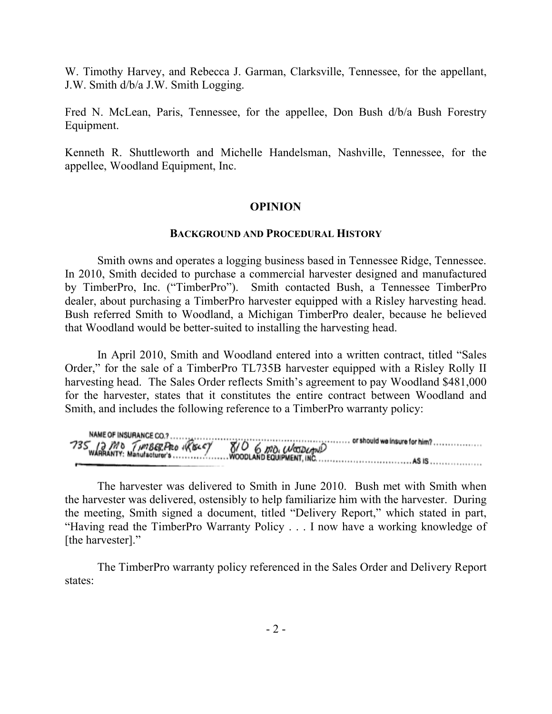W. Timothy Harvey, and Rebecca J. Garman, Clarksville, Tennessee, for the appellant, J.W. Smith d/b/a J.W. Smith Logging.

Fred N. McLean, Paris, Tennessee, for the appellee, Don Bush d/b/a Bush Forestry Equipment.

Kenneth R. Shuttleworth and Michelle Handelsman, Nashville, Tennessee, for the appellee, Woodland Equipment, Inc.

### **OPINION**

### **BACKGROUND AND PROCEDURAL HISTORY**

Smith owns and operates a logging business based in Tennessee Ridge, Tennessee. In 2010, Smith decided to purchase a commercial harvester designed and manufactured by TimberPro, Inc. ("TimberPro"). Smith contacted Bush, a Tennessee TimberPro dealer, about purchasing a TimberPro harvester equipped with a Risley harvesting head. Bush referred Smith to Woodland, a Michigan TimberPro dealer, because he believed that Woodland would be better-suited to installing the harvesting head.

In April 2010, Smith and Woodland entered into a written contract, titled "Sales Order," for the sale of a TimberPro TL735B harvester equipped with a Risley Rolly II harvesting head. The Sales Order reflects Smith's agreement to pay Woodland \$481,000 for the harvester, states that it constitutes the entire contract between Woodland and Smith, and includes the following reference to a TimberPro warranty policy:

The harvester was delivered to Smith in June 2010. Bush met with Smith when the harvester was delivered, ostensibly to help familiarize him with the harvester. During the meeting, Smith signed a document, titled "Delivery Report," which stated in part, "Having read the TimberPro Warranty Policy . . . I now have a working knowledge of [the harvester]."

The TimberPro warranty policy referenced in the Sales Order and Delivery Report states: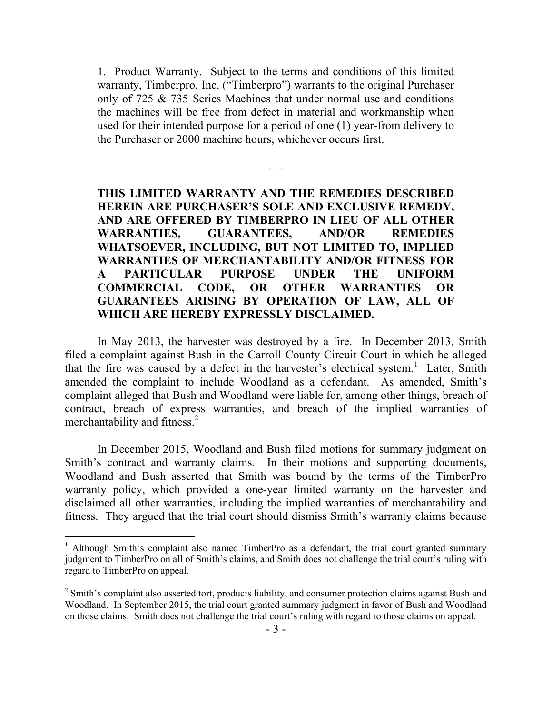1. Product Warranty. Subject to the terms and conditions of this limited warranty, Timberpro, Inc. ("Timberpro") warrants to the original Purchaser only of 725 & 735 Series Machines that under normal use and conditions the machines will be free from defect in material and workmanship when used for their intended purpose for a period of one (1) year-from delivery to the Purchaser or 2000 machine hours, whichever occurs first.

. . .

# **THIS LIMITED WARRANTY AND THE REMEDIES DESCRIBED HEREIN ARE PURCHASER'S SOLE AND EXCLUSIVE REMEDY, AND ARE OFFERED BY TIMBERPRO IN LIEU OF ALL OTHER WARRANTIES, GUARANTEES, AND/OR REMEDIES WHATSOEVER, INCLUDING, BUT NOT LIMITED TO, IMPLIED WARRANTIES OF MERCHANTABILITY AND/OR FITNESS FOR A PARTICULAR PURPOSE UNDER THE UNIFORM COMMERCIAL CODE, OR OTHER WARRANTIES OR GUARANTEES ARISING BY OPERATION OF LAW, ALL OF WHICH ARE HEREBY EXPRESSLY DISCLAIMED.**

In May 2013, the harvester was destroyed by a fire. In December 2013, Smith filed a complaint against Bush in the Carroll County Circuit Court in which he alleged that the fire was caused by a defect in the harvester's electrical system.<sup>1</sup> Later, Smith amended the complaint to include Woodland as a defendant. As amended, Smith's complaint alleged that Bush and Woodland were liable for, among other things, breach of contract, breach of express warranties, and breach of the implied warranties of merchantability and fitness.<sup>2</sup>

In December 2015, Woodland and Bush filed motions for summary judgment on Smith's contract and warranty claims. In their motions and supporting documents, Woodland and Bush asserted that Smith was bound by the terms of the TimberPro warranty policy, which provided a one-year limited warranty on the harvester and disclaimed all other warranties, including the implied warranties of merchantability and fitness. They argued that the trial court should dismiss Smith's warranty claims because

 $\overline{a}$ 

 $1$  Although Smith's complaint also named TimberPro as a defendant, the trial court granted summary judgment to TimberPro on all of Smith's claims, and Smith does not challenge the trial court's ruling with regard to TimberPro on appeal.

<sup>&</sup>lt;sup>2</sup> Smith's complaint also asserted tort, products liability, and consumer protection claims against Bush and Woodland. In September 2015, the trial court granted summary judgment in favor of Bush and Woodland on those claims. Smith does not challenge the trial court's ruling with regard to those claims on appeal.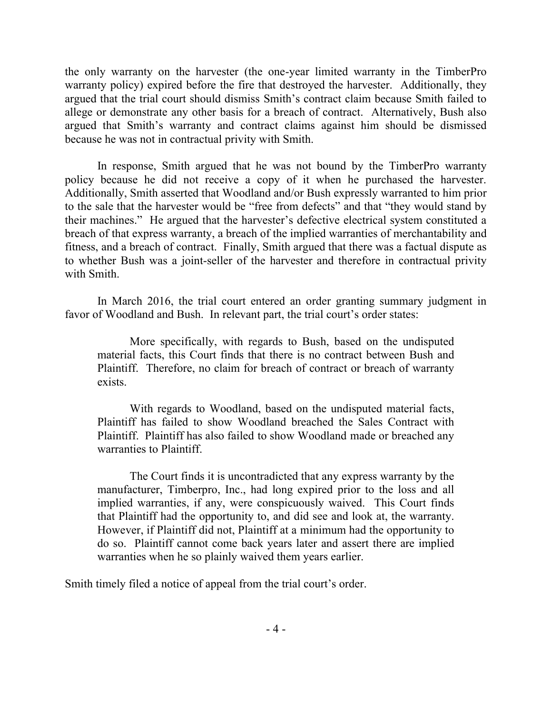the only warranty on the harvester (the one-year limited warranty in the TimberPro warranty policy) expired before the fire that destroyed the harvester. Additionally, they argued that the trial court should dismiss Smith's contract claim because Smith failed to allege or demonstrate any other basis for a breach of contract. Alternatively, Bush also argued that Smith's warranty and contract claims against him should be dismissed because he was not in contractual privity with Smith.

In response, Smith argued that he was not bound by the TimberPro warranty policy because he did not receive a copy of it when he purchased the harvester. Additionally, Smith asserted that Woodland and/or Bush expressly warranted to him prior to the sale that the harvester would be "free from defects" and that "they would stand by their machines." He argued that the harvester's defective electrical system constituted a breach of that express warranty, a breach of the implied warranties of merchantability and fitness, and a breach of contract. Finally, Smith argued that there was a factual dispute as to whether Bush was a joint-seller of the harvester and therefore in contractual privity with Smith.

In March 2016, the trial court entered an order granting summary judgment in favor of Woodland and Bush. In relevant part, the trial court's order states:

More specifically, with regards to Bush, based on the undisputed material facts, this Court finds that there is no contract between Bush and Plaintiff. Therefore, no claim for breach of contract or breach of warranty exists.

With regards to Woodland, based on the undisputed material facts, Plaintiff has failed to show Woodland breached the Sales Contract with Plaintiff. Plaintiff has also failed to show Woodland made or breached any warranties to Plaintiff.

The Court finds it is uncontradicted that any express warranty by the manufacturer, Timberpro, Inc., had long expired prior to the loss and all implied warranties, if any, were conspicuously waived. This Court finds that Plaintiff had the opportunity to, and did see and look at, the warranty. However, if Plaintiff did not, Plaintiff at a minimum had the opportunity to do so. Plaintiff cannot come back years later and assert there are implied warranties when he so plainly waived them years earlier.

Smith timely filed a notice of appeal from the trial court's order.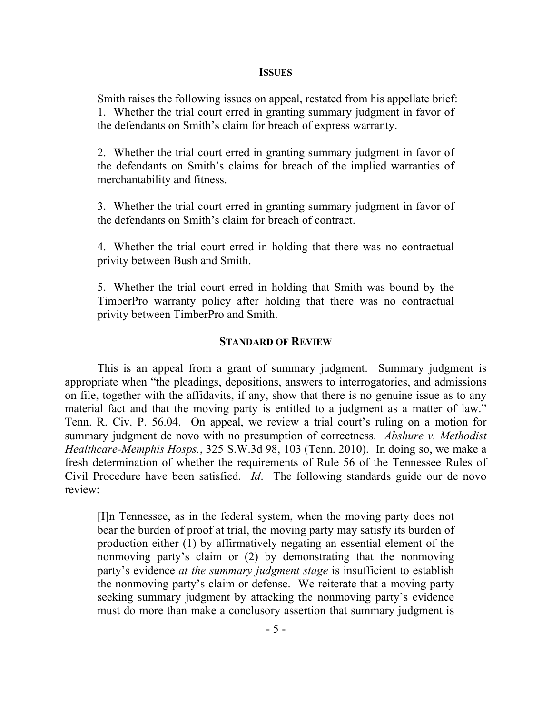#### **ISSUES**

Smith raises the following issues on appeal, restated from his appellate brief: 1. Whether the trial court erred in granting summary judgment in favor of the defendants on Smith's claim for breach of express warranty.

2. Whether the trial court erred in granting summary judgment in favor of the defendants on Smith's claims for breach of the implied warranties of merchantability and fitness.

3. Whether the trial court erred in granting summary judgment in favor of the defendants on Smith's claim for breach of contract.

4. Whether the trial court erred in holding that there was no contractual privity between Bush and Smith.

5. Whether the trial court erred in holding that Smith was bound by the TimberPro warranty policy after holding that there was no contractual privity between TimberPro and Smith.

### **STANDARD OF REVIEW**

This is an appeal from a grant of summary judgment. Summary judgment is appropriate when "the pleadings, depositions, answers to interrogatories, and admissions on file, together with the affidavits, if any, show that there is no genuine issue as to any material fact and that the moving party is entitled to a judgment as a matter of law." Tenn. R. Civ. P. 56.04. On appeal, we review a trial court's ruling on a motion for summary judgment de novo with no presumption of correctness. *Abshure v. Methodist Healthcare-Memphis Hosps.*, 325 S.W.3d 98, 103 (Tenn. 2010). In doing so, we make a fresh determination of whether the requirements of Rule 56 of the Tennessee Rules of Civil Procedure have been satisfied. *Id*. The following standards guide our de novo review:

[I]n Tennessee, as in the federal system, when the moving party does not bear the burden of proof at trial, the moving party may satisfy its burden of production either (1) by affirmatively negating an essential element of the nonmoving party's claim or (2) by demonstrating that the nonmoving party's evidence *at the summary judgment stage* is insufficient to establish the nonmoving party's claim or defense. We reiterate that a moving party seeking summary judgment by attacking the nonmoving party's evidence must do more than make a conclusory assertion that summary judgment is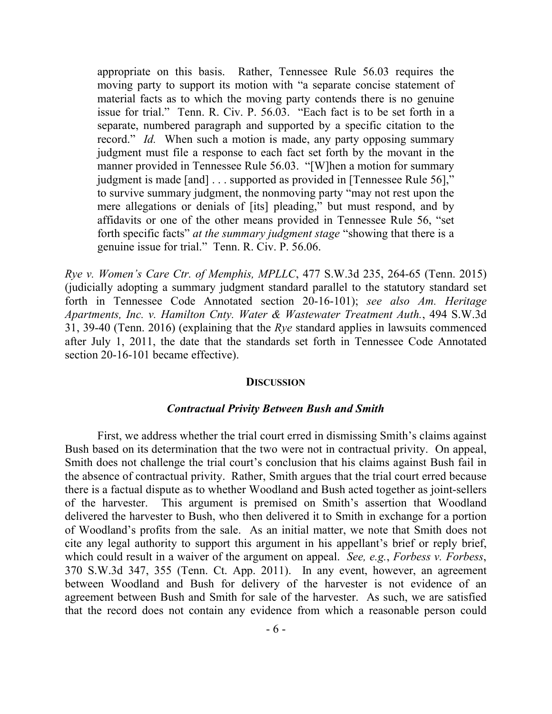appropriate on this basis. Rather, Tennessee Rule 56.03 requires the moving party to support its motion with "a separate concise statement of material facts as to which the moving party contends there is no genuine issue for trial." Tenn. R. Civ. P. 56.03. "Each fact is to be set forth in a separate, numbered paragraph and supported by a specific citation to the record." *Id.* When such a motion is made, any party opposing summary judgment must file a response to each fact set forth by the movant in the manner provided in Tennessee Rule 56.03. "[W]hen a motion for summary judgment is made [and] . . . supported as provided in [Tennessee Rule 56]," to survive summary judgment, the nonmoving party "may not rest upon the mere allegations or denials of [its] pleading," but must respond, and by affidavits or one of the other means provided in Tennessee Rule 56, "set forth specific facts" *at the summary judgment stage* "showing that there is a genuine issue for trial." Tenn. R. Civ. P. 56.06.

*Rye v. Women's Care Ctr. of Memphis, MPLLC*, 477 S.W.3d 235, 264-65 (Tenn. 2015) (judicially adopting a summary judgment standard parallel to the statutory standard set forth in Tennessee Code Annotated section 20-16-101); *see also Am. Heritage Apartments, Inc. v. Hamilton Cnty. Water & Wastewater Treatment Auth.*, 494 S.W.3d 31, 39-40 (Tenn. 2016) (explaining that the *Rye* standard applies in lawsuits commenced after July 1, 2011, the date that the standards set forth in Tennessee Code Annotated section 20-16-101 became effective).

#### **DISCUSSION**

#### *Contractual Privity Between Bush and Smith*

First, we address whether the trial court erred in dismissing Smith's claims against Bush based on its determination that the two were not in contractual privity. On appeal, Smith does not challenge the trial court's conclusion that his claims against Bush fail in the absence of contractual privity. Rather, Smith argues that the trial court erred because there is a factual dispute as to whether Woodland and Bush acted together as joint-sellers of the harvester. This argument is premised on Smith's assertion that Woodland delivered the harvester to Bush, who then delivered it to Smith in exchange for a portion of Woodland's profits from the sale. As an initial matter, we note that Smith does not cite any legal authority to support this argument in his appellant's brief or reply brief, which could result in a waiver of the argument on appeal. *See, e.g.*, *Forbess v. Forbess*, 370 S.W.3d 347, 355 (Tenn. Ct. App. 2011). In any event, however, an agreement between Woodland and Bush for delivery of the harvester is not evidence of an agreement between Bush and Smith for sale of the harvester. As such, we are satisfied that the record does not contain any evidence from which a reasonable person could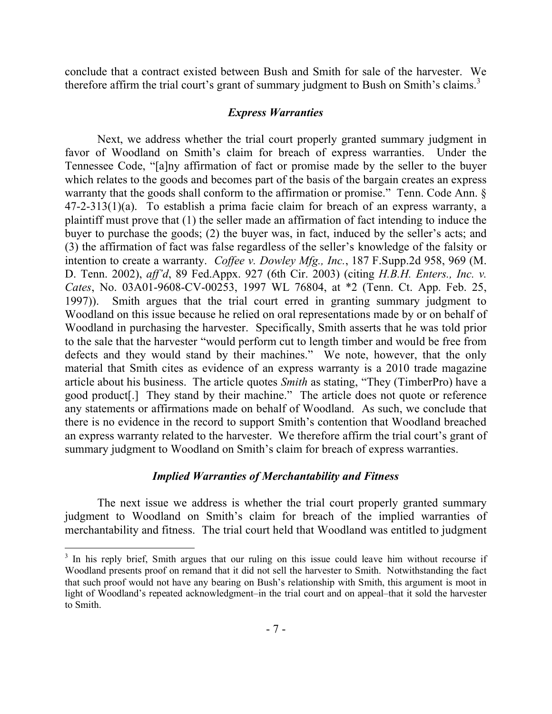conclude that a contract existed between Bush and Smith for sale of the harvester. We therefore affirm the trial court's grant of summary judgment to Bush on Smith's claims.<sup>3</sup>

### *Express Warranties*

Next, we address whether the trial court properly granted summary judgment in favor of Woodland on Smith's claim for breach of express warranties. Under the Tennessee Code, "[a]ny affirmation of fact or promise made by the seller to the buyer which relates to the goods and becomes part of the basis of the bargain creates an express warranty that the goods shall conform to the affirmation or promise." Tenn. Code Ann. § 47-2-313(1)(a). To establish a prima facie claim for breach of an express warranty, a plaintiff must prove that (1) the seller made an affirmation of fact intending to induce the buyer to purchase the goods; (2) the buyer was, in fact, induced by the seller's acts; and (3) the affirmation of fact was false regardless of the seller's knowledge of the falsity or intention to create a warranty. *Coffee v. Dowley Mfg., Inc.*, 187 F.Supp.2d 958, 969 (M. D. Tenn. 2002), *aff'd*, 89 Fed.Appx. 927 (6th Cir. 2003) (citing *H.B.H. Enters., Inc. v. Cates*, No. 03A01-9608-CV-00253, 1997 WL 76804, at \*2 (Tenn. Ct. App. Feb. 25, 1997)). Smith argues that the trial court erred in granting summary judgment to Woodland on this issue because he relied on oral representations made by or on behalf of Woodland in purchasing the harvester. Specifically, Smith asserts that he was told prior to the sale that the harvester "would perform cut to length timber and would be free from defects and they would stand by their machines." We note, however, that the only material that Smith cites as evidence of an express warranty is a 2010 trade magazine article about his business. The article quotes *Smith* as stating, "They (TimberPro) have a good product[.] They stand by their machine." The article does not quote or reference any statements or affirmations made on behalf of Woodland. As such, we conclude that there is no evidence in the record to support Smith's contention that Woodland breached an express warranty related to the harvester. We therefore affirm the trial court's grant of summary judgment to Woodland on Smith's claim for breach of express warranties.

### *Implied Warranties of Merchantability and Fitness*

The next issue we address is whether the trial court properly granted summary judgment to Woodland on Smith's claim for breach of the implied warranties of merchantability and fitness. The trial court held that Woodland was entitled to judgment

<sup>&</sup>lt;sup>3</sup> In his reply brief, Smith argues that our ruling on this issue could leave him without recourse if Woodland presents proof on remand that it did not sell the harvester to Smith. Notwithstanding the fact that such proof would not have any bearing on Bush's relationship with Smith, this argument is moot in light of Woodland's repeated acknowledgment–in the trial court and on appeal–that it sold the harvester to Smith.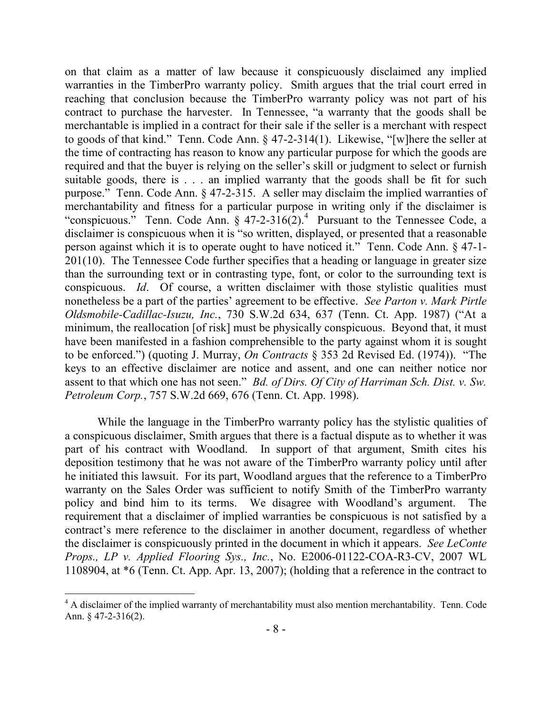on that claim as a matter of law because it conspicuously disclaimed any implied warranties in the TimberPro warranty policy. Smith argues that the trial court erred in reaching that conclusion because the TimberPro warranty policy was not part of his contract to purchase the harvester. In Tennessee, "a warranty that the goods shall be merchantable is implied in a contract for their sale if the seller is a merchant with respect to goods of that kind." Tenn. Code Ann. § 47-2-314(1). Likewise, "[w]here the seller at the time of contracting has reason to know any particular purpose for which the goods are required and that the buyer is relying on the seller's skill or judgment to select or furnish suitable goods, there is . . . an implied warranty that the goods shall be fit for such purpose." Tenn. Code Ann. § 47-2-315. A seller may disclaim the implied warranties of merchantability and fitness for a particular purpose in writing only if the disclaimer is "conspicuous." Tenn. Code Ann.  $\S$  47-2-316(2).<sup>4</sup> Pursuant to the Tennessee Code, a disclaimer is conspicuous when it is "so written, displayed, or presented that a reasonable person against which it is to operate ought to have noticed it." Tenn. Code Ann. § 47-1- 201(10). The Tennessee Code further specifies that a heading or language in greater size than the surrounding text or in contrasting type, font, or color to the surrounding text is conspicuous. *Id*. Of course, a written disclaimer with those stylistic qualities must nonetheless be a part of the parties' agreement to be effective. *See Parton v. Mark Pirtle Oldsmobile-Cadillac-Isuzu, Inc.*, 730 S.W.2d 634, 637 (Tenn. Ct. App. 1987) ("At a minimum, the reallocation [of risk] must be physically conspicuous. Beyond that, it must have been manifested in a fashion comprehensible to the party against whom it is sought to be enforced.") (quoting J. Murray, *On Contracts* § 353 2d Revised Ed. (1974)). "The keys to an effective disclaimer are notice and assent, and one can neither notice nor assent to that which one has not seen." *Bd. of Dirs. Of City of Harriman Sch. Dist. v. Sw. Petroleum Corp.*, 757 S.W.2d 669, 676 (Tenn. Ct. App. 1998).

While the language in the TimberPro warranty policy has the stylistic qualities of a conspicuous disclaimer, Smith argues that there is a factual dispute as to whether it was part of his contract with Woodland. In support of that argument, Smith cites his deposition testimony that he was not aware of the TimberPro warranty policy until after he initiated this lawsuit. For its part, Woodland argues that the reference to a TimberPro warranty on the Sales Order was sufficient to notify Smith of the TimberPro warranty policy and bind him to its terms. We disagree with Woodland's argument. The requirement that a disclaimer of implied warranties be conspicuous is not satisfied by a contract's mere reference to the disclaimer in another document, regardless of whether the disclaimer is conspicuously printed in the document in which it appears. *See LeConte Props., LP v. Applied Flooring Sys., Inc.*, No. E2006-01122-COA-R3-CV, 2007 WL 1108904, at \*6 (Tenn. Ct. App. Apr. 13, 2007); (holding that a reference in the contract to

<sup>&</sup>lt;sup>4</sup> A disclaimer of the implied warranty of merchantability must also mention merchantability. Tenn. Code Ann. § 47-2-316(2).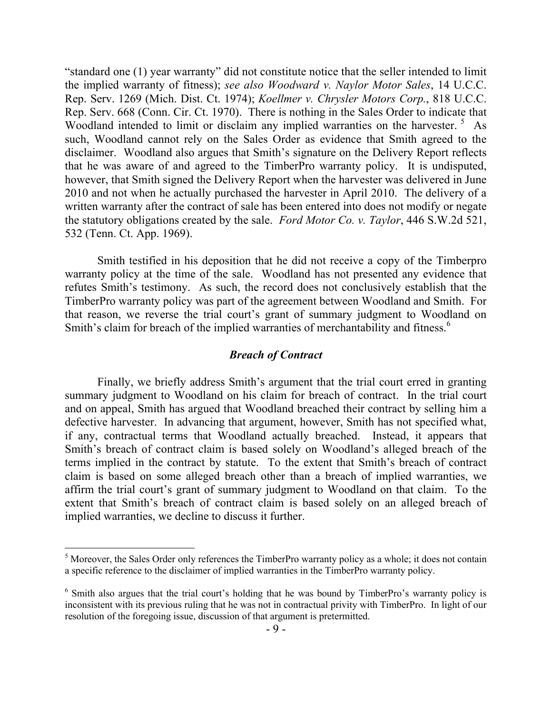"standard one (1) year warranty" did not constitute notice that the seller intended to limit the implied warranty of fitness); *see also Woodward v. Naylor Motor Sales*, 14 U.C.C. Rep. Serv. 1269 (Mich. Dist. Ct. 1974); *Koellmer v. Chrysler Motors Corp.*, 818 U.C.C. Rep. Serv. 668 (Conn. Cir. Ct. 1970). There is nothing in the Sales Order to indicate that Woodland intended to limit or disclaim any implied warranties on the harvester.<sup>5</sup> As such, Woodland cannot rely on the Sales Order as evidence that Smith agreed to the disclaimer. Woodland also argues that Smith's signature on the Delivery Report reflects that he was aware of and agreed to the TimberPro warranty policy. It is undisputed, however, that Smith signed the Delivery Report when the harvester was delivered in June 2010 and not when he actually purchased the harvester in April 2010. The delivery of a written warranty after the contract of sale has been entered into does not modify or negate the statutory obligations created by the sale. *Ford Motor Co. v. Taylor*, 446 S.W.2d 521, 532 (Tenn. Ct. App. 1969).

Smith testified in his deposition that he did not receive a copy of the Timberpro warranty policy at the time of the sale. Woodland has not presented any evidence that refutes Smith's testimony. As such, the record does not conclusively establish that the TimberPro warranty policy was part of the agreement between Woodland and Smith. For that reason, we reverse the trial court's grant of summary judgment to Woodland on Smith's claim for breach of the implied warranties of merchantability and fitness.<sup>6</sup>

#### *Breach of Contract*

Finally, we briefly address Smith's argument that the trial court erred in granting summary judgment to Woodland on his claim for breach of contract. In the trial court and on appeal, Smith has argued that Woodland breached their contract by selling him a defective harvester. In advancing that argument, however, Smith has not specified what, if any, contractual terms that Woodland actually breached. Instead, it appears that Smith's breach of contract claim is based solely on Woodland's alleged breach of the terms implied in the contract by statute. To the extent that Smith's breach of contract claim is based on some alleged breach other than a breach of implied warranties, we affirm the trial court's grant of summary judgment to Woodland on that claim. To the extent that Smith's breach of contract claim is based solely on an alleged breach of implied warranties, we decline to discuss it further.

<sup>&</sup>lt;sup>5</sup> Moreover, the Sales Order only references the TimberPro warranty policy as a whole; it does not contain a specific reference to the disclaimer of implied warranties in the TimberPro warranty policy.

<sup>&</sup>lt;sup>6</sup> Smith also argues that the trial court's holding that he was bound by TimberPro's warranty policy is inconsistent with its previous ruling that he was not in contractual privity with TimberPro. In light of our resolution of the foregoing issue, discussion of that argument is pretermitted.